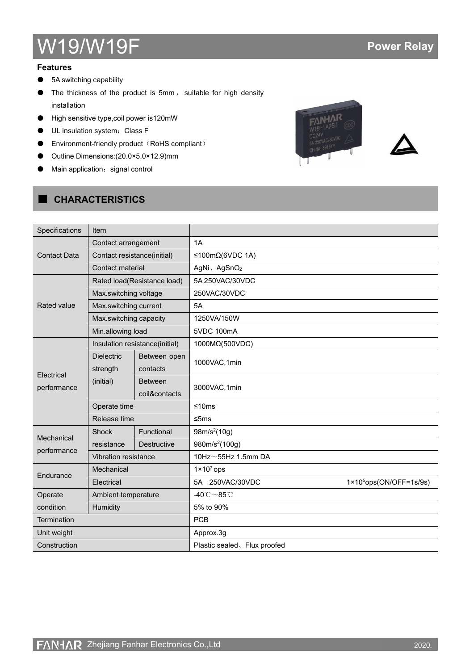# W19/W19F **Power Relay**

#### **Features**

- 5A switching capability
- The thickness of the product is 5mm , suitable for high density installation
- High sensitive type, coil power is120mW
- UL insulation system: Class F
- Environment-friendly product (RoHS compliant)
- Outline Dimensions:(20.0×5.0×12.9)mm
- Main application: signal control

# ■ **CHARACTERISTICS**





| Specifications            | Item                          |                                 |                                         |                                   |
|---------------------------|-------------------------------|---------------------------------|-----------------------------------------|-----------------------------------|
|                           | Contact arrangement           |                                 | 1A                                      |                                   |
| <b>Contact Data</b>       | Contact resistance(initial)   |                                 | ≤100mΩ(6VDC 1A)                         |                                   |
|                           | Contact material              |                                 | AgNi、AgSnO <sub>2</sub>                 |                                   |
|                           |                               | Rated load(Resistance load)     | 5A 250VAC/30VDC                         |                                   |
|                           | Max.switching voltage         |                                 | 250VAC/30VDC                            |                                   |
| Rated value               | Max.switching current         |                                 | 5A                                      |                                   |
|                           | Max.switching capacity        |                                 | 1250VA/150W                             |                                   |
|                           | Min.allowing load             |                                 | 5VDC 100mA                              |                                   |
|                           |                               | Insulation resistance(initial)  | 1000MΩ(500VDC)                          |                                   |
|                           | <b>Dielectric</b><br>strength | Between open<br>contacts        | 1000VAC,1min                            |                                   |
| Electrical<br>performance | (initial)                     | <b>Between</b><br>coil&contacts | 3000VAC, 1min                           |                                   |
|                           | Operate time                  |                                 | ≤10ms                                   |                                   |
|                           | Release time                  |                                 | $≤5ms$                                  |                                   |
|                           | Shock                         | Functional                      | 98m/s <sup>2</sup> (10g)                |                                   |
| Mechanical                | resistance                    | <b>Destructive</b>              | 980m/s <sup>2</sup> (100g)              |                                   |
| performance               | Vibration resistance          |                                 | 10Hz $\sim$ 55Hz 1.5mm DA               |                                   |
|                           | Mechanical                    |                                 | $1 \times 10^7$ ops                     |                                   |
| Endurance                 | Electrical                    |                                 | 5A 250VAC/30VDC                         | $1 \times 10^5$ ops(ON/OFF=1s/9s) |
| Operate                   | Ambient temperature           |                                 | -40 $^{\circ}$ C $\sim$ 85 $^{\circ}$ C |                                   |
| condition                 | Humidity                      |                                 | 5% to 90%                               |                                   |
| Termination               |                               |                                 | PCB                                     |                                   |
| Unit weight               |                               |                                 | Approx.3g                               |                                   |
| Construction              |                               |                                 | Plastic sealed. Flux proofed            |                                   |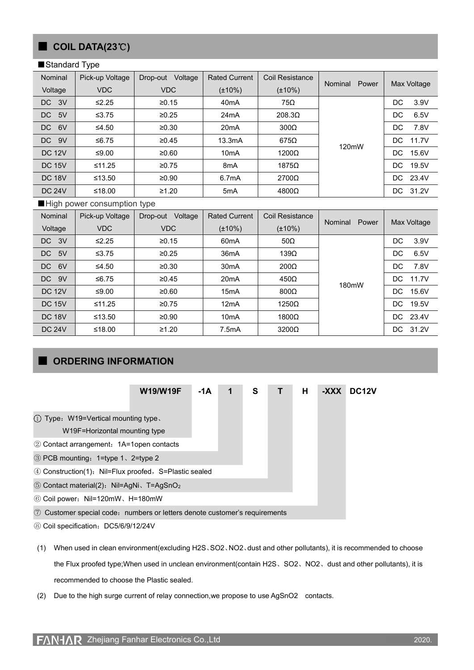## ■ **COIL DATA(23**℃**)**

#### ■Standard Type

| Nominal       | Pick-up Voltage | Voltage<br>Drop-out | <b>Rated Current</b> | Coil Resistance |                  |              |
|---------------|-----------------|---------------------|----------------------|-----------------|------------------|--------------|
| Voltage       | <b>VDC</b>      | VDC                 | $(\pm 10\%)$         | $(\pm 10\%)$    | Power<br>Nominal | Max Voltage  |
| DC 3V         | $\leq$ 2.25     | ≥0.15               | 40 <sub>m</sub> A    | 75Ω             |                  | DC.<br>3.9V  |
| 5V<br>DC      | $≤3.75$         | ≥0.25               | 24mA                 | $208.3\Omega$   |                  | 6.5V<br>DC.  |
| 6V<br>DC.     | ≤4.50           | ≥0.30               | 20 <sub>m</sub> A    | $300\Omega$     | 120mW            | 7.8V<br>DC   |
| DC 9V         | ≤6.75           | ≥0.45               | 13.3mA               | $675\Omega$     |                  | 11.7V<br>DC. |
| <b>DC 12V</b> | ≤9.00           | ≥0.60               | 10 <sub>m</sub> A    | 1200Ω           |                  | 15.6V<br>DC. |
| <b>DC 15V</b> | ≤11.25          | ≥0.75               | 8 <sub>m</sub> A     | $1875\Omega$    |                  | DC.<br>19.5V |
| <b>DC 18V</b> | ≤13.50          | ≥0.90               | 6.7mA                | $2700\Omega$    |                  | DC 23.4V     |
| <b>DC 24V</b> | ≤18.00          | ≥1.20               | 5 <sub>m</sub> A     | $4800\Omega$    |                  | 31.2V<br>DC. |

#### ■High power consumption type

| Nominal       | Pick-up Voltage | Voltage<br>Drop-out | <b>Rated Current</b> | <b>Coil Resistance</b> |                  |              |
|---------------|-----------------|---------------------|----------------------|------------------------|------------------|--------------|
| Voltage       | <b>VDC</b>      | <b>VDC</b>          | $(\pm 10\%)$         | $(\pm 10\%)$           | Power<br>Nominal | Max Voltage  |
| DC 3V         | $≤2.25$         | ≥0.15               | 60 <sub>m</sub> A    | $50\Omega$             |                  | DC<br>3.9V   |
| 5V<br>DC.     | $≤3.75$         | ≥0.25               | 36 <sub>m</sub> A    | 139 $\Omega$           |                  | 6.5V<br>DC.  |
| DC<br>6V      | ≤4.50           | ≥0.30               | 30 <sub>m</sub> A    | $200\Omega$            |                  | 7.8V<br>DC.  |
| 9V<br>DC      | ≤6.75           | ≥0.45               | 20 <sub>m</sub> A    | $450\Omega$            | 180mW            | DC.<br>11.7V |
| <b>DC 12V</b> | ≤ $9.00$        | ≥0.60               | 15 <sub>m</sub> A    | $800\Omega$            |                  | DC.<br>15.6V |
| <b>DC 15V</b> | ≤11.25          | ≥0.75               | 12mA                 | $1250\Omega$           |                  | 19.5V<br>DC. |
| <b>DC 18V</b> | ≤13.50          | ≥0.90               | 10 <sub>m</sub> A    | $1800\Omega$           |                  | 23.4V<br>DC. |
| <b>DC 24V</b> | ≤18.00          | ≥1.20               | 7.5mA                | $3200\Omega$           |                  | 31.2V<br>DC. |

## ■ **ORDERING INFORMATION**

| <b>W19/W19F</b>                                                            | $-1A$ | 1 | S | Н | -XXX | DC12V |
|----------------------------------------------------------------------------|-------|---|---|---|------|-------|
| 1) Type: W19=Vertical mounting type.<br>W19F=Horizontal mounting type      |       |   |   |   |      |       |
| 2 Contact arrangement: 1A=1 open contacts                                  |       |   |   |   |      |       |
| 3 PCB mounting: 1=type 1, 2=type 2                                         |       |   |   |   |      |       |
| 4 Construction(1): Nil=Flux proofed, S=Plastic sealed                      |       |   |   |   |      |       |
| 5 Contact material(2): Nil=AgNi、T=AgSnO <sub>2</sub>                       |       |   |   |   |      |       |
| 6 Coil power: Nil=120mW, H=180mW                                           |       |   |   |   |      |       |
| 7 Customer special code: numbers or letters denote customer's requirements |       |   |   |   |      |       |

⑧ Coil specification:DC5/6/9/12/24V

(1) When used in clean environment(excluding H2S、SO2、NO2、dust and other pollutants), it is recommended to choose the Flux proofed type;When used in unclean environment(contain H2S、SO2、NO2、dust and other pollutants), it is recommended to choose the Plastic sealed.

(2) Due to the high surge current of relay connection,we propose to use AgSnO2 contacts.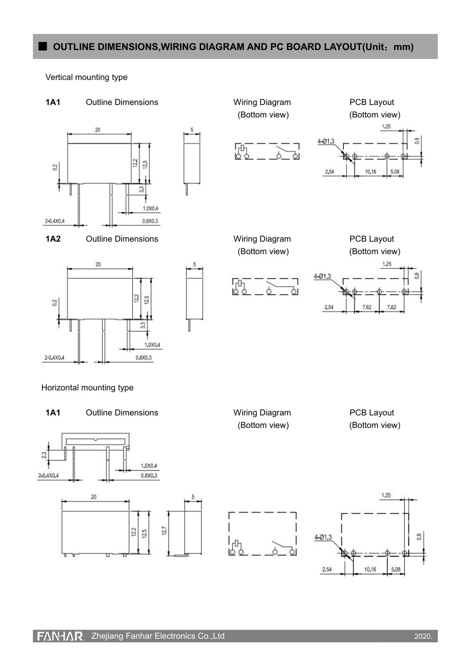## ■ **OUTLINE DIMENSIONS,WIRING DIAGRAM AND PC BOARD LAYOUT(Unit**:**mm)**

Vertical mounting type



10.16

5.08

2.54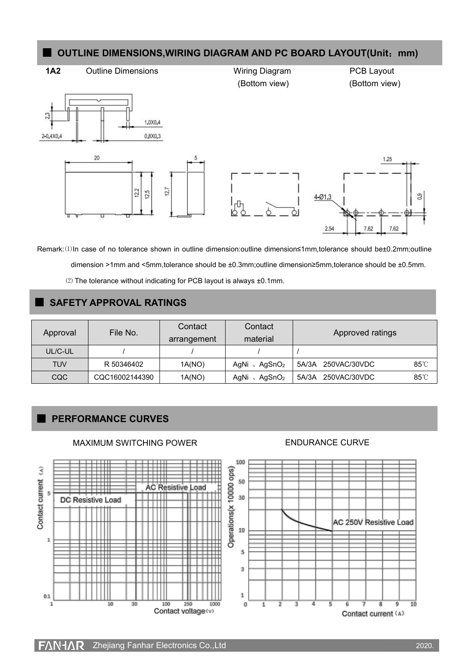## ■ **OUTLINE DIMENSIONS,WIRING DIAGRAM AND PC BOARD LAYOUT(Unit**:**mm)**



Remark:⑴In case of no tolerance shown in outline dimension:outline dimension≤1mm,tolerance should be±0.2mm;outline dimension >1mm and <5mm,tolerance should be ±0.3mm;outline dimension≥5mm,tolerance should be ±0.5mm. ⑵ The tolerance without indicating for PCB layout is always ±0.1mm.

#### ■ **SAFETY APPROVAL RATINGS**

| Approval   | File No.       | Contact<br>arrangement | Contact<br>material                | Approved ratings      |      |  |
|------------|----------------|------------------------|------------------------------------|-----------------------|------|--|
| UL/C-UL    |                |                        |                                    |                       |      |  |
| <b>TUV</b> | R 50346402     | 1A(NO)                 | AgNi $\sqrt{ }$ AgSnO <sub>2</sub> | 5A/3A<br>250VAC/30VDC | 85°C |  |
| CQC        | CQC16002144390 | 1A(NO)                 | AgNi $\sqrt{ }$ AgSnO <sub>2</sub> | 5A/3A<br>250VAC/30VDC | 85°C |  |

### ■ **PERFORMANCE CURVES**



#### MAXIMUM SWITCHING POWER **ENDURANCE CURVE**